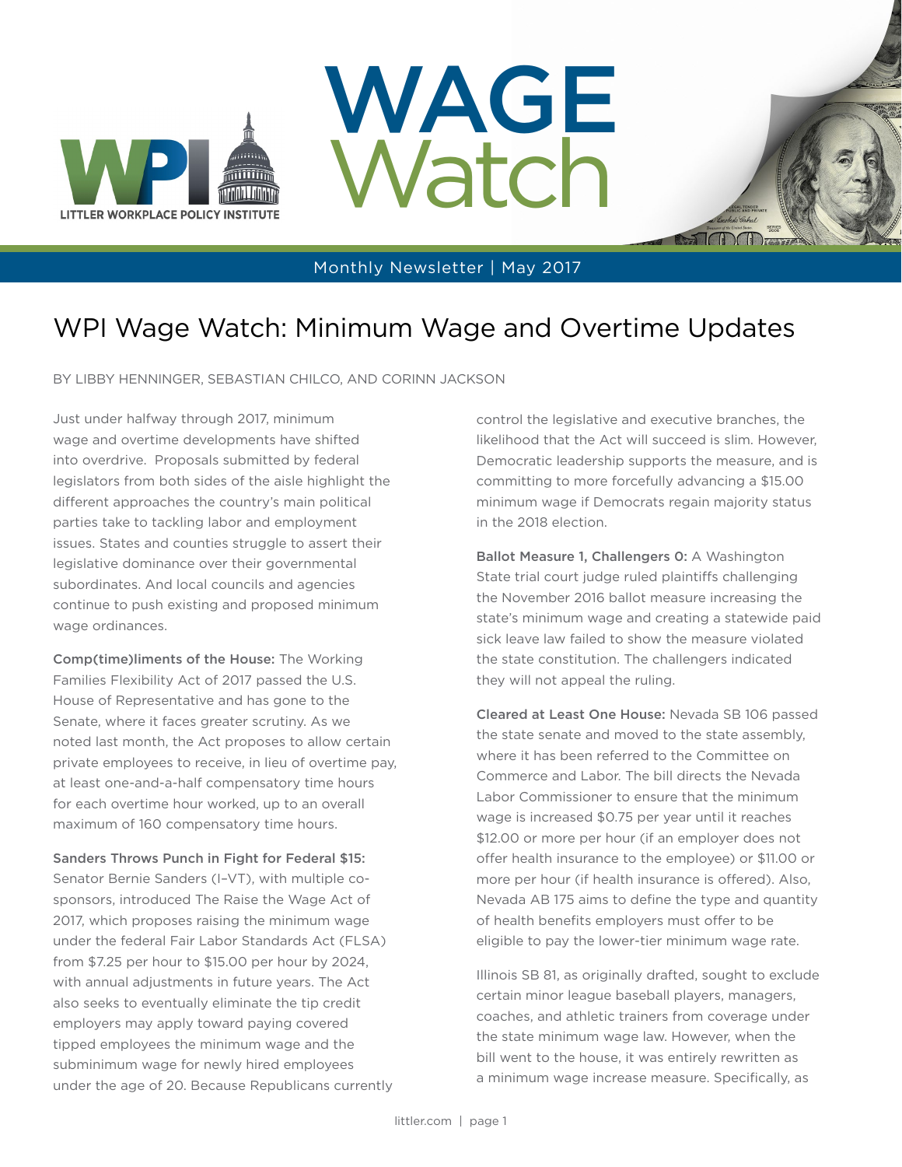





#### Monthly Newsletter | May 2017

### WPI Wage Watch: Minimum Wage and Overtime Updates

BY LIBBY HENNINGER, SEBASTIAN CHILCO, AND CORINN JACKSON

Just under halfway through 2017, minimum wage and overtime developments have shifted into overdrive. Proposals submitted by federal legislators from both sides of the aisle highlight the different approaches the country's main political parties take to tackling labor and employment issues. States and counties struggle to assert their legislative dominance over their governmental subordinates. And local councils and agencies continue to push existing and proposed minimum wage ordinances.

Comp(time)liments of the House: The Working Families Flexibility Act of 2017 passed the U.S. House of Representative and has gone to the Senate, where it faces greater scrutiny. As we noted last month, the Act proposes to allow certain private employees to receive, in lieu of overtime pay, at least one-and-a-half compensatory time hours for each overtime hour worked, up to an overall maximum of 160 compensatory time hours.

Sanders Throws Punch in Fight for Federal \$15: Senator Bernie Sanders (I–VT), with multiple cosponsors, introduced The Raise the Wage Act of 2017, which proposes raising the minimum wage under the federal Fair Labor Standards Act (FLSA) from \$7.25 per hour to \$15.00 per hour by 2024, with annual adjustments in future years. The Act also seeks to eventually eliminate the tip credit employers may apply toward paying covered tipped employees the minimum wage and the subminimum wage for newly hired employees under the age of 20. Because Republicans currently control the legislative and executive branches, the likelihood that the Act will succeed is slim. However, Democratic leadership supports the measure, and is committing to more forcefully advancing a \$15.00 minimum wage if Democrats regain majority status in the 2018 election.

Ballot Measure 1, Challengers 0: A Washington State trial court judge ruled plaintiffs challenging the November 2016 ballot measure increasing the state's minimum wage and creating a statewide paid sick leave law failed to show the measure violated the state constitution. The challengers indicated they will not appeal the ruling.

Cleared at Least One House: Nevada SB 106 passed the state senate and moved to the state assembly, where it has been referred to the Committee on Commerce and Labor. The bill directs the Nevada Labor Commissioner to ensure that the minimum wage is increased \$0.75 per year until it reaches \$12.00 or more per hour (if an employer does not offer health insurance to the employee) or \$11.00 or more per hour (if health insurance is offered). Also, Nevada AB 175 aims to define the type and quantity of health benefits employers must offer to be eligible to pay the lower-tier minimum wage rate.

Illinois SB 81, as originally drafted, sought to exclude certain minor league baseball players, managers, coaches, and athletic trainers from coverage under the state minimum wage law. However, when the bill went to the house, it was entirely rewritten as a minimum wage increase measure. Specifically, as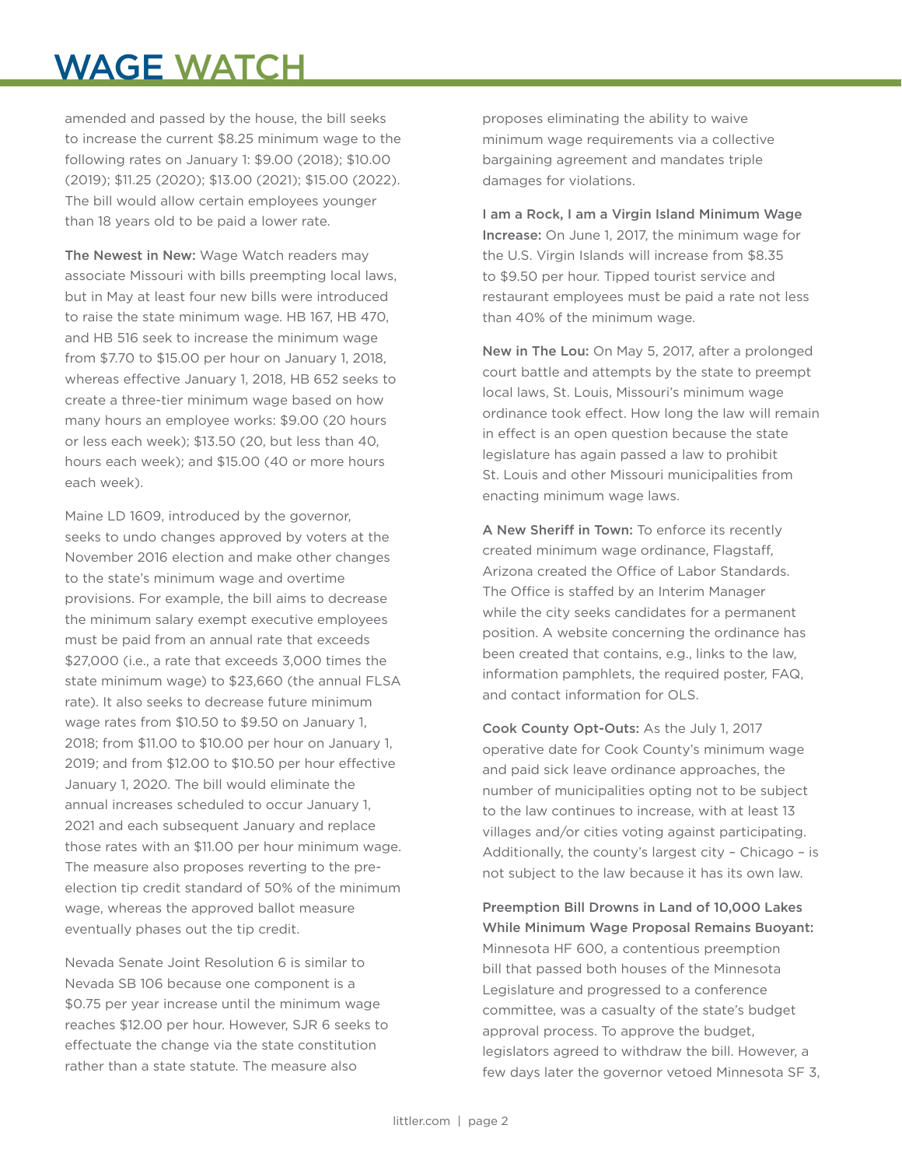# WAGE WATCH

amended and passed by the house, the bill seeks to increase the current \$8.25 minimum wage to the following rates on January 1: \$9.00 (2018); \$10.00 (2019); \$11.25 (2020); \$13.00 (2021); \$15.00 (2022). The bill would allow certain employees younger than 18 years old to be paid a lower rate.

The Newest in New: Wage Watch readers may associate Missouri with bills preempting local laws, but in May at least four new bills were introduced to raise the state minimum wage. HB 167, HB 470, and HB 516 seek to increase the minimum wage from \$7.70 to \$15.00 per hour on January 1, 2018, whereas effective January 1, 2018, HB 652 seeks to create a three-tier minimum wage based on how many hours an employee works: \$9.00 (20 hours or less each week); \$13.50 (20, but less than 40, hours each week); and \$15.00 (40 or more hours each week).

Maine LD 1609, introduced by the governor, seeks to undo changes approved by voters at the November 2016 election and make other changes to the state's minimum wage and overtime provisions. For example, the bill aims to decrease the minimum salary exempt executive employees must be paid from an annual rate that exceeds \$27,000 (i.e., a rate that exceeds 3,000 times the state minimum wage) to \$23,660 (the annual FLSA rate). It also seeks to decrease future minimum wage rates from \$10.50 to \$9.50 on January 1, 2018; from \$11.00 to \$10.00 per hour on January 1, 2019; and from \$12.00 to \$10.50 per hour effective January 1, 2020. The bill would eliminate the annual increases scheduled to occur January 1, 2021 and each subsequent January and replace those rates with an \$11.00 per hour minimum wage. The measure also proposes reverting to the preelection tip credit standard of 50% of the minimum wage, whereas the approved ballot measure eventually phases out the tip credit.

Nevada Senate Joint Resolution 6 is similar to Nevada SB 106 because one component is a \$0.75 per year increase until the minimum wage reaches \$12.00 per hour. However, SJR 6 seeks to effectuate the change via the state constitution rather than a state statute. The measure also

proposes eliminating the ability to waive minimum wage requirements via a collective bargaining agreement and mandates triple damages for violations.

I am a Rock, I am a Virgin Island Minimum Wage Increase: On June 1, 2017, the minimum wage for the U.S. Virgin Islands will increase from \$8.35 to \$9.50 per hour. Tipped tourist service and restaurant employees must be paid a rate not less than 40% of the minimum wage.

New in The Lou: On May 5, 2017, after a prolonged court battle and attempts by the state to preempt local laws, St. Louis, Missouri's minimum wage ordinance took effect. How long the law will remain in effect is an open question because the state legislature has again passed a law to prohibit St. Louis and other Missouri municipalities from enacting minimum wage laws.

A New Sheriff in Town: To enforce its recently created minimum wage ordinance, Flagstaff, Arizona created the Office of Labor Standards. The Office is staffed by an Interim Manager while the city seeks candidates for a permanent position. A website concerning the ordinance has been created that contains, e.g., links to the law, information pamphlets, the required poster, FAQ, and contact information for OLS.

Cook County Opt-Outs: As the July 1, 2017 operative date for Cook County's minimum wage and paid sick leave ordinance approaches, the number of municipalities opting not to be subject to the law continues to increase, with at least 13 villages and/or cities voting against participating. Additionally, the county's largest city – Chicago – is not subject to the law because it has its own law.

Preemption Bill Drowns in Land of 10,000 Lakes While Minimum Wage Proposal Remains Buoyant: Minnesota HF 600, a contentious preemption bill that passed both houses of the Minnesota Legislature and progressed to a conference committee, was a casualty of the state's budget approval process. To approve the budget, legislators agreed to withdraw the bill. However, a few days later the governor vetoed Minnesota SF 3,